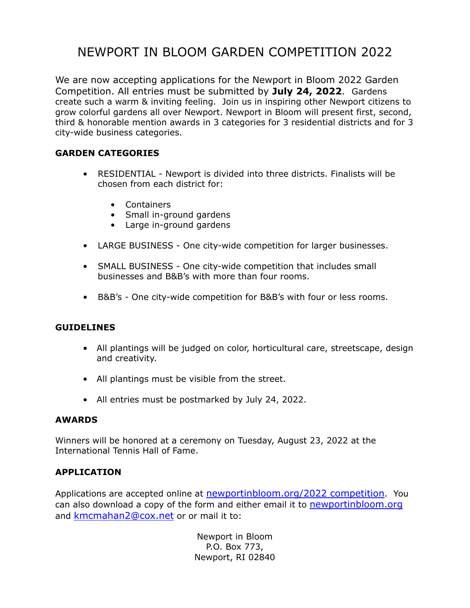## NEWPORT IN BLOOM GARDEN COMPETITION 2022

We are now accepting applications for the Newport in Bloom 2022 Garden Competition. All entries must be submitted by **July 24, 2022**. Gardens create such a warm & inviting feeling. Join us in inspiring other Newport citizens to grow colorful gardens all over Newport. Newport in Bloom will present first, second, third & honorable mention awards in 3 categories for 3 residential districts and for 3 city-wide business categories.

### **GARDEN CATEGORIES**

- RESIDENTIAL Newport is divided into three districts. Finalists will be chosen from each district for:
	- Containers
	- Small in-ground gardens
	- Large in-ground gardens
- LARGE BUSINESS One city-wide competition for larger businesses.
- SMALL BUSINESS One city-wide competition that includes small businesses and B&B's with more than four rooms.
- B&B's One city-wide competition for B&B's with four or less rooms.

#### **GUIDELINES**

- All plantings will be judged on color, horticultural care, streetscape, design and creativity.
- All plantings must be visible from the street.
- All entries must be postmarked by July 24, 2022.

#### **AWARDS**

Winners will be honored at a ceremony on Tuesday, August 23, 2022 at the International Tennis Hall of Fame.

#### **APPLICATION**

Applications are accepted online at **newportinbloom.org/2022 competition**. You can also download a copy of the form and either email it to newportinbloom.org and kmcmahan2@cox.net or or mail it to:

> Newport in Bloom P.O. Box 773, Newport, RI 02840